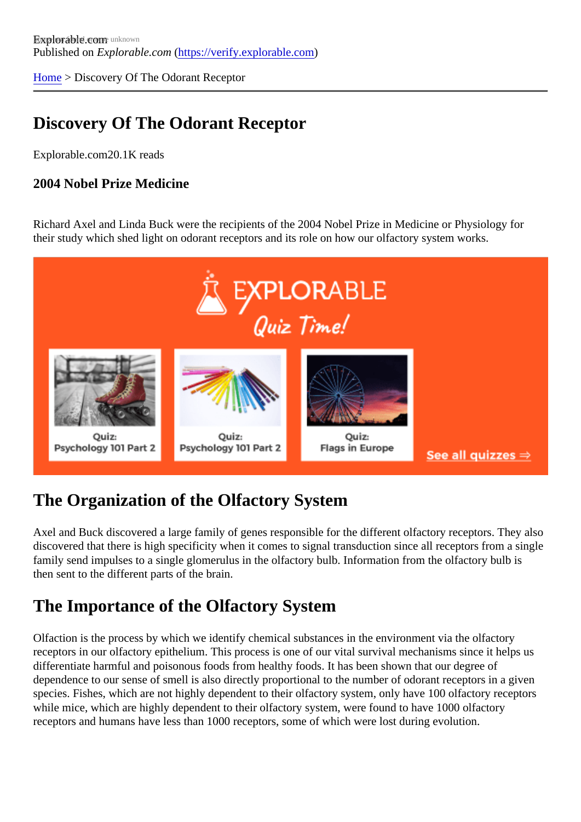[Home](https://verify.explorable.com/) > Discovery Of The Odorant Receptor

## Discovery Of The Odorant Receptor

Explorable.com20.1K reads

2004 Nobel Prize Medicine

Richard Axel and Linda Buck were the recipients of the 2004 Nobel Prize in Medicine or Physiology for their study which shed light on odorant receptors and its role on how our olfactory system works.

# The Organization of the Olfactory System

Axel and Buck discovered a large family of genes responsible for the different olfactory receptors. They also discovered that there is high specificity when it comes to signal transduction since all receptors from a sing family send impulses to a single glomerulus in the olfactory bulb. Information from the olfactory bulb is then sent to the different parts of the brain.

#### The Importance of the Olfactory System

Olfaction is the process by which we identify chemical substances in the environment via the olfactory receptors in our olfactory epithelium. This process is one of our vital survival mechanisms since it helps us differentiate harmful and poisonous foods from healthy foods. It has been shown that our degree of dependence to our sense of smell is also directly proportional to the number of odorant receptors in a give species. Fishes, which are not highly dependent to their olfactory system, only have 100 olfactory receptor while mice, which are highly dependent to their olfactory system, were found to have 1000 olfactory receptors and humans have less than 1000 receptors, some of which were lost during evolution.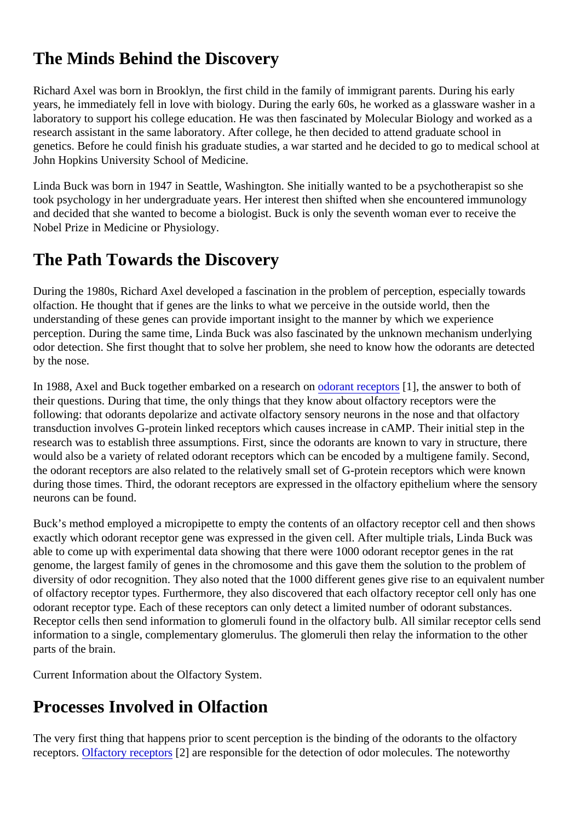## The Minds Behind the Discovery

Richard Axel was born in Brooklyn, the first child in the family of immigrant parents. During his early years, he immediately fell in love with biology. During the early 60s, he worked as a glassware washer in a laboratory to support his college education. He was then fascinated by Molecular Biology and worked as a research assistant in the same laboratory. After college, he then decided to attend graduate school in genetics. Before he could finish his graduate studies, a war started and he decided to go to medical school John Hopkins University School of Medicine.

Linda Buck was born in 1947 in Seattle, Washington. She initially wanted to be a psychotherapist so she took psychology in her undergraduate years. Her interest then shifted when she encountered immunology and decided that she wanted to become a biologist. Buck is only the seventh woman ever to receive the Nobel Prize in Medicine or Physiology.

#### The Path Towards the Discovery

During the 1980s, Richard Axel developed a fascination in the problem of perception, especially towards olfaction. He thought that if genes are the links to what we perceive in the outside world, then the understanding of these genes can provide important insight to the manner by which we experience perception. During the same time, Linda Buck was also fascinated by the unknown mechanism underlying odor detection. She first thought that to solve her problem, she need to know how the odorants are detected by the nose.

In 1988, Axel and Buck together embarked on a researol of an areceptors [1], the answer to both of their questions. During that time, the only things that they know about olfactory receptors were the following: that odorants depolarize and activate olfactory sensory neurons in the nose and that olfactory transduction involves G-protein linked receptors which causes increase in cAMP. Their initial step in the research was to establish three assumptions. First, since the odorants are known to vary in structure, there would also be a variety of related odorant receptors which can be encoded by a multigene family. Second, the odorant receptors are also related to the relatively small set of G-protein receptors which were known during those times. Third, the odorant receptors are expressed in the olfactory epithelium where the sensor neurons can be found.

Buck's method employed a micropipette to empty the contents of an olfactory receptor cell and then show exactly which odorant receptor gene was expressed in the given cell. After multiple trials, Linda Buck was able to come up with experimental data showing that there were 1000 odorant receptor genes in the rat genome, the largest family of genes in the chromosome and this gave them the solution to the problem of diversity of odor recognition. They also noted that the 1000 different genes give rise to an equivalent numb of olfactory receptor types. Furthermore, they also discovered that each olfactory receptor cell only has one odorant receptor type. Each of these receptors can only detect a limited number of odorant substances. Receptor cells then send information to glomeruli found in the olfactory bulb. All similar receptor cells send information to a single, complementary glomerulus. The glomeruli then relay the information to the other parts of the brain.

Current Information about the Olfactory System.

## Processes Involved in Olfaction

The very first thing that happens prior to scent perception is the binding of the odorants to the olfactory receptorsOlfactory receptor $\Omega$  are responsible for the detection of odor molecules. The noteworthy